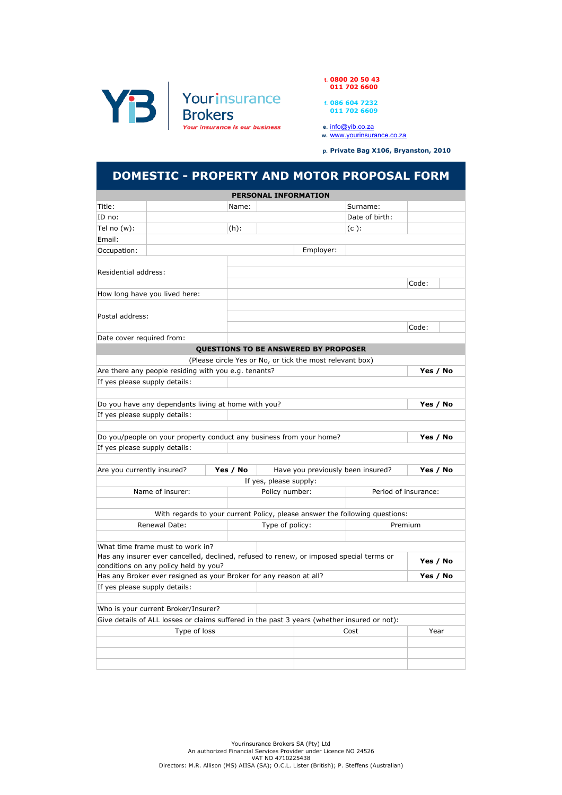

t. 0800 20 50 43 011 702 6600

> f. 086 604 7232 011 702 6609

e. <u>info@yib.co.za</u>

w. www.yourinsurance.co.za

p. Private Bag X106, Bryanston, 2010

## DOMESTIC - PROPERTY AND MOTOR PROPOSAL FORM

|                                                                                |                                                                                             |          | <b>PERSONAL INFORMATION</b> |                                                          |                                                                             |                      |  |
|--------------------------------------------------------------------------------|---------------------------------------------------------------------------------------------|----------|-----------------------------|----------------------------------------------------------|-----------------------------------------------------------------------------|----------------------|--|
| Title:                                                                         |                                                                                             | Name:    |                             |                                                          | Surname:                                                                    |                      |  |
| ID no:                                                                         |                                                                                             |          |                             |                                                          | Date of birth:                                                              |                      |  |
| Tel no (w):                                                                    |                                                                                             | $(h)$ :  |                             |                                                          | $(c)$ :                                                                     |                      |  |
| Email:                                                                         |                                                                                             |          |                             |                                                          |                                                                             |                      |  |
| Occupation:                                                                    |                                                                                             |          |                             | Employer:                                                |                                                                             |                      |  |
|                                                                                |                                                                                             |          |                             |                                                          |                                                                             |                      |  |
| Residential address:                                                           |                                                                                             |          |                             |                                                          |                                                                             |                      |  |
|                                                                                |                                                                                             |          |                             |                                                          |                                                                             | Code:                |  |
|                                                                                | How long have you lived here:                                                               |          |                             |                                                          |                                                                             |                      |  |
|                                                                                |                                                                                             |          |                             |                                                          |                                                                             |                      |  |
| Postal address:                                                                |                                                                                             |          |                             |                                                          |                                                                             |                      |  |
|                                                                                |                                                                                             |          |                             |                                                          |                                                                             | Code:                |  |
| Date cover required from:                                                      |                                                                                             |          |                             |                                                          |                                                                             |                      |  |
|                                                                                |                                                                                             |          |                             | QUESTIONS TO BE ANSWERED BY PROPOSER                     |                                                                             |                      |  |
|                                                                                |                                                                                             |          |                             | (Please circle Yes or No, or tick the most relevant box) |                                                                             |                      |  |
|                                                                                | Are there any people residing with you e.g. tenants?                                        |          |                             |                                                          |                                                                             | Yes / No             |  |
| If yes please supply details:                                                  |                                                                                             |          |                             |                                                          |                                                                             |                      |  |
|                                                                                |                                                                                             |          |                             |                                                          |                                                                             |                      |  |
|                                                                                | Do you have any dependants living at home with you?                                         |          |                             |                                                          |                                                                             | Yes / No             |  |
| If yes please supply details:                                                  |                                                                                             |          |                             |                                                          |                                                                             |                      |  |
|                                                                                |                                                                                             |          |                             |                                                          |                                                                             |                      |  |
|                                                                                | Do you/people on your property conduct any business from your home?                         |          |                             |                                                          |                                                                             | Yes / No             |  |
| If yes please supply details:                                                  |                                                                                             |          |                             |                                                          |                                                                             |                      |  |
|                                                                                |                                                                                             |          |                             |                                                          |                                                                             |                      |  |
| Are you currently insured?                                                     |                                                                                             | Yes / No |                             | Have you previously been insured?                        |                                                                             | Yes / No             |  |
|                                                                                |                                                                                             |          | If yes, please supply:      |                                                          |                                                                             |                      |  |
|                                                                                | Name of insurer:                                                                            |          | Policy number:              |                                                          |                                                                             | Period of insurance: |  |
|                                                                                |                                                                                             |          |                             |                                                          |                                                                             |                      |  |
|                                                                                |                                                                                             |          |                             |                                                          | With regards to your current Policy, please answer the following questions: |                      |  |
|                                                                                | Renewal Date:                                                                               |          | Type of policy:             |                                                          |                                                                             | Premium              |  |
|                                                                                |                                                                                             |          |                             |                                                          |                                                                             |                      |  |
|                                                                                | What time frame must to work in?                                                            |          |                             |                                                          |                                                                             |                      |  |
|                                                                                | Has any insurer ever cancelled, declined, refused to renew, or imposed special terms or     |          |                             |                                                          |                                                                             | Yes / No             |  |
| conditions on any policy held by you?                                          |                                                                                             |          |                             |                                                          |                                                                             |                      |  |
| Has any Broker ever resigned as your Broker for any reason at all?<br>Yes / No |                                                                                             |          |                             |                                                          |                                                                             |                      |  |
| If yes please supply details:                                                  |                                                                                             |          |                             |                                                          |                                                                             |                      |  |
|                                                                                |                                                                                             |          |                             |                                                          |                                                                             |                      |  |
|                                                                                | Who is your current Broker/Insurer?                                                         |          |                             |                                                          |                                                                             |                      |  |
|                                                                                | Give details of ALL losses or claims suffered in the past 3 years (whether insured or not): |          |                             |                                                          |                                                                             |                      |  |
|                                                                                | Type of loss                                                                                |          |                             |                                                          | Cost                                                                        | Year                 |  |
|                                                                                |                                                                                             |          |                             |                                                          |                                                                             |                      |  |
|                                                                                |                                                                                             |          |                             |                                                          |                                                                             |                      |  |
|                                                                                |                                                                                             |          |                             |                                                          |                                                                             |                      |  |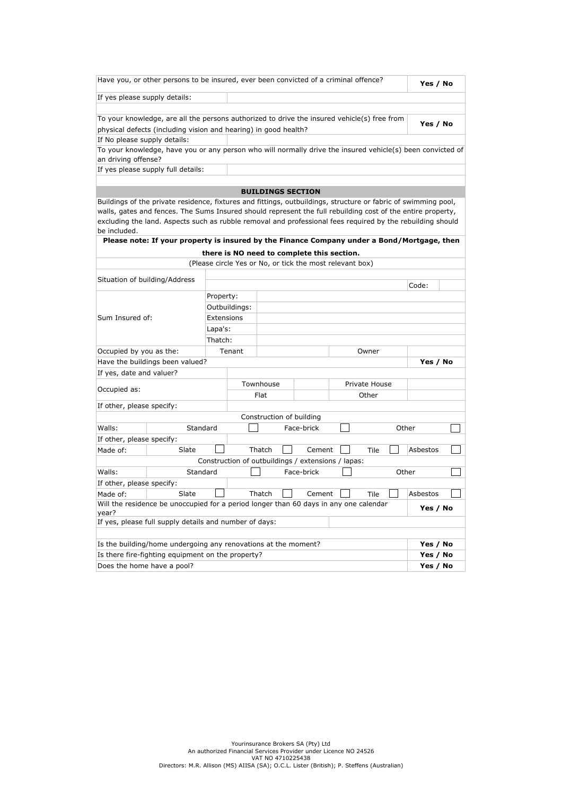| Have you, or other persons to be insured, ever been convicted of a criminal offence?                           |                                        |           |               |                                                          |            |               |               | Yes / No |  |
|----------------------------------------------------------------------------------------------------------------|----------------------------------------|-----------|---------------|----------------------------------------------------------|------------|---------------|---------------|----------|--|
|                                                                                                                | If yes please supply details:          |           |               |                                                          |            |               |               |          |  |
|                                                                                                                |                                        |           |               |                                                          |            |               |               |          |  |
| To your knowledge, are all the persons authorized to drive the insured vehicle(s) free from                    |                                        |           |               |                                                          |            |               |               | Yes / No |  |
| physical defects (including vision and hearing) in good health?                                                |                                        |           |               |                                                          |            |               |               |          |  |
| If No please supply details:                                                                                   |                                        |           |               |                                                          |            |               |               |          |  |
| To your knowledge, have you or any person who will normally drive the insured vehicle(s) been convicted of     |                                        |           |               |                                                          |            |               |               |          |  |
| an driving offense?                                                                                            |                                        |           |               |                                                          |            |               |               |          |  |
| If yes please supply full details:                                                                             |                                        |           |               |                                                          |            |               |               |          |  |
|                                                                                                                |                                        |           |               | <b>BUILDINGS SECTION</b>                                 |            |               |               |          |  |
| Buildings of the private residence, fixtures and fittings, outbuildings, structure or fabric of swimming pool, |                                        |           |               |                                                          |            |               |               |          |  |
| walls, gates and fences. The Sums Insured should represent the full rebuilding cost of the entire property,    |                                        |           |               |                                                          |            |               |               |          |  |
| excluding the land. Aspects such as rubble removal and professional fees required by the rebuilding should     |                                        |           |               |                                                          |            |               |               |          |  |
| be included.<br>Please note: If your property is insured by the Finance Company under a Bond/Mortgage, then    |                                        |           |               |                                                          |            |               |               |          |  |
|                                                                                                                |                                        |           |               |                                                          |            |               |               |          |  |
|                                                                                                                |                                        |           |               | there is NO need to complete this section.               |            |               |               |          |  |
|                                                                                                                |                                        |           |               | (Please circle Yes or No, or tick the most relevant box) |            |               |               |          |  |
| Situation of building/Address                                                                                  |                                        |           |               |                                                          |            |               |               | Code:    |  |
|                                                                                                                |                                        | Property: |               |                                                          |            |               |               |          |  |
|                                                                                                                |                                        |           | Outbuildings: |                                                          |            |               |               |          |  |
| Sum Insured of:<br>Extensions                                                                                  |                                        |           |               |                                                          |            |               |               |          |  |
| Lapa's:                                                                                                        |                                        |           |               |                                                          |            |               |               |          |  |
|                                                                                                                |                                        | Thatch:   |               |                                                          |            |               |               |          |  |
| Occupied by you as the:                                                                                        |                                        |           | Tenant        |                                                          |            |               | Owner         |          |  |
| Have the buildings been valued?                                                                                |                                        |           |               |                                                          |            |               |               | Yes / No |  |
| If yes, date and valuer?                                                                                       |                                        |           |               |                                                          |            |               |               |          |  |
|                                                                                                                |                                        |           | Townhouse     |                                                          |            |               | Private House |          |  |
| Occupied as:                                                                                                   |                                        |           |               | Flat                                                     |            | Other         |               |          |  |
| If other, please specify:                                                                                      |                                        |           |               |                                                          |            |               |               |          |  |
|                                                                                                                |                                        |           |               | Construction of building                                 |            |               |               |          |  |
| Walls:                                                                                                         | Standard                               |           |               |                                                          | Face-brick |               | Other         |          |  |
| If other, please specify:                                                                                      |                                        |           |               |                                                          |            |               |               |          |  |
| Made of:                                                                                                       | Slate                                  |           |               | Thatch                                                   | Cement     |               | Tile          | Asbestos |  |
|                                                                                                                |                                        |           |               | Construction of outbuildings / extensions / lapas:       |            |               |               |          |  |
| Walls:                                                                                                         | Standard                               |           |               |                                                          | Face-brick |               | Other         |          |  |
| If other, please specify:                                                                                      |                                        |           |               |                                                          |            |               |               |          |  |
| Made of:                                                                                                       | Slate                                  |           |               | Thatch                                                   |            | Cement $\Box$ | Tile          | Asbestos |  |
| Will the residence be unoccupied for a period longer than 60 days in any one calendar<br>Yes / No<br>year?     |                                        |           |               |                                                          |            |               |               |          |  |
| If yes, please full supply details and number of days:                                                         |                                        |           |               |                                                          |            |               |               |          |  |
|                                                                                                                |                                        |           |               |                                                          |            |               |               |          |  |
| Is the building/home undergoing any renovations at the moment?                                                 |                                        |           |               |                                                          |            |               |               | Yes / No |  |
| Is there fire-fighting equipment on the property?<br>Yes / No                                                  |                                        |           |               |                                                          |            |               |               |          |  |
|                                                                                                                | Does the home have a pool?<br>Yes / No |           |               |                                                          |            |               |               |          |  |
|                                                                                                                |                                        |           |               |                                                          |            |               |               |          |  |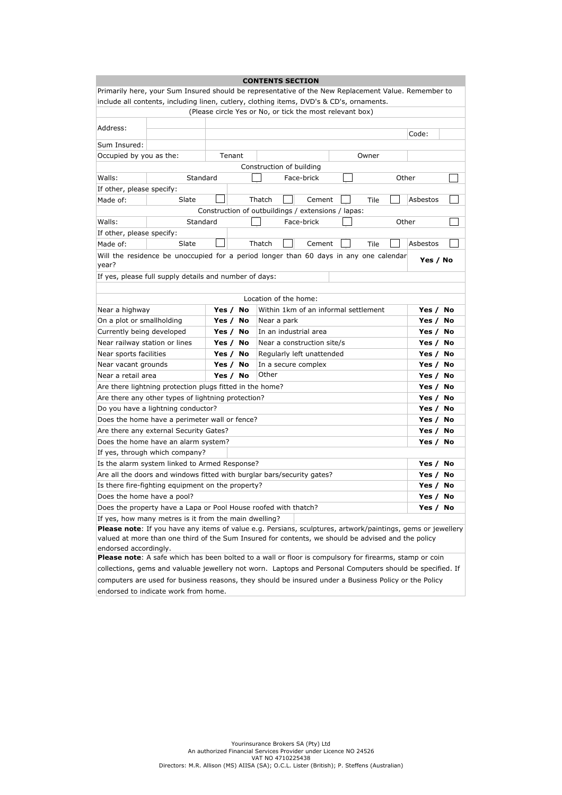| <b>CONTENTS SECTION</b>                                                                                     |                                                                                                           |  |          |                                                                                                       |       |       |          |    |
|-------------------------------------------------------------------------------------------------------------|-----------------------------------------------------------------------------------------------------------|--|----------|-------------------------------------------------------------------------------------------------------|-------|-------|----------|----|
| Primarily here, your Sum Insured should be representative of the New Replacement Value. Remember to         |                                                                                                           |  |          |                                                                                                       |       |       |          |    |
| include all contents, including linen, cutlery, clothing items, DVD's & CD's, ornaments.                    |                                                                                                           |  |          |                                                                                                       |       |       |          |    |
|                                                                                                             | (Please circle Yes or No, or tick the most relevant box)                                                  |  |          |                                                                                                       |       |       |          |    |
|                                                                                                             |                                                                                                           |  |          |                                                                                                       |       |       |          |    |
| Address:                                                                                                    |                                                                                                           |  |          |                                                                                                       |       |       | Code:    |    |
| Sum Insured:                                                                                                |                                                                                                           |  |          |                                                                                                       |       |       |          |    |
|                                                                                                             | Occupied by you as the:<br>Tenant<br>Owner                                                                |  |          |                                                                                                       |       |       |          |    |
|                                                                                                             |                                                                                                           |  |          | Construction of building                                                                              |       |       |          |    |
| Walls:                                                                                                      | Standard                                                                                                  |  |          | Face-brick                                                                                            |       |       | Other    |    |
| If other, please specify:                                                                                   |                                                                                                           |  |          |                                                                                                       |       |       |          |    |
| Made of:                                                                                                    | Slate                                                                                                     |  |          | Thatch<br>Cement                                                                                      |       | Tile  | Asbestos |    |
|                                                                                                             |                                                                                                           |  |          | Construction of outbuildings / extensions / lapas:                                                    |       |       |          |    |
| Walls:                                                                                                      | Standard                                                                                                  |  |          | Face-brick                                                                                            |       |       | Other    |    |
| If other, please specify:                                                                                   |                                                                                                           |  |          |                                                                                                       |       |       |          |    |
| Made of:                                                                                                    | Slate                                                                                                     |  |          | Thatch<br>Cement                                                                                      |       | Tile  | Asbestos |    |
|                                                                                                             |                                                                                                           |  |          | Will the residence be unoccupied for a period longer than 60 days in any one calendar                 |       |       |          |    |
| year?                                                                                                       |                                                                                                           |  |          |                                                                                                       |       |       | Yes / No |    |
|                                                                                                             | If yes, please full supply details and number of days:                                                    |  |          |                                                                                                       |       |       |          |    |
|                                                                                                             |                                                                                                           |  |          |                                                                                                       |       |       |          |    |
|                                                                                                             |                                                                                                           |  |          | Location of the home:                                                                                 |       |       |          |    |
| Within 1km of an informal settlement<br>Yes / No<br>Near a highway                                          |                                                                                                           |  |          |                                                                                                       |       | Yes / | No       |    |
| On a plot or smallholding<br>Near a park<br>Yes /<br>No                                                     |                                                                                                           |  |          |                                                                                                       |       | Yes / | No       |    |
| Currently being developed<br>No<br>In an industrial area<br>Yes /                                           |                                                                                                           |  |          |                                                                                                       |       | Yes / | No       |    |
| Near railway station or lines<br>No<br>Yes /<br>Near a construction site/s                                  |                                                                                                           |  |          |                                                                                                       |       | Yes / | No       |    |
| Near sports facilities<br>No<br>Regularly left unattended<br>Yes /                                          |                                                                                                           |  |          |                                                                                                       | Yes / | No    |          |    |
| Yes /<br>No<br>Near vacant grounds<br>In a secure complex                                                   |                                                                                                           |  |          |                                                                                                       | Yes / | No    |          |    |
| Near a retail area                                                                                          |                                                                                                           |  | Yes / No | Other                                                                                                 |       |       | Yes / No |    |
|                                                                                                             | Are there lightning protection plugs fitted in the home?                                                  |  |          |                                                                                                       |       |       | Yes / No |    |
|                                                                                                             | Are there any other types of lightning protection?                                                        |  |          |                                                                                                       |       |       | Yes / No |    |
|                                                                                                             | Do you have a lightning conductor?                                                                        |  |          |                                                                                                       |       |       | Yes / No |    |
|                                                                                                             | Does the home have a perimeter wall or fence?                                                             |  |          |                                                                                                       |       |       | Yes / No |    |
|                                                                                                             | Are there any external Security Gates?                                                                    |  |          |                                                                                                       |       |       | Yes /    | No |
|                                                                                                             | Does the home have an alarm system?                                                                       |  |          |                                                                                                       |       |       | Yes /    | No |
|                                                                                                             | If yes, through which company?                                                                            |  |          |                                                                                                       |       |       |          |    |
|                                                                                                             | Is the alarm system linked to Armed Response?                                                             |  |          |                                                                                                       |       |       | Yes /    | No |
|                                                                                                             |                                                                                                           |  |          | Are all the doors and windows fitted with burglar bars/security gates?                                |       |       | Yes /    | No |
|                                                                                                             | Is there fire-fighting equipment on the property?                                                         |  |          |                                                                                                       |       |       | Yes / No |    |
| Does the home have a pool?<br>Yes / No                                                                      |                                                                                                           |  |          |                                                                                                       |       |       |          |    |
| Does the property have a Lapa or Pool House roofed with thatch?<br>Yes / No                                 |                                                                                                           |  |          |                                                                                                       |       |       |          |    |
| If yes, how many metres is it from the main dwelling?                                                       |                                                                                                           |  |          |                                                                                                       |       |       |          |    |
| Please note: If you have any items of value e.g. Persians, sculptures, artwork/paintings, gems or jewellery |                                                                                                           |  |          |                                                                                                       |       |       |          |    |
| valued at more than one third of the Sum Insured for contents, we should be advised and the policy          |                                                                                                           |  |          |                                                                                                       |       |       |          |    |
| endorsed accordingly.                                                                                       |                                                                                                           |  |          |                                                                                                       |       |       |          |    |
| Please note: A safe which has been bolted to a wall or floor is compulsory for firearms, stamp or coin      |                                                                                                           |  |          |                                                                                                       |       |       |          |    |
|                                                                                                             | collections, gems and valuable jewellery not worn. Laptops and Personal Computers should be specified. If |  |          |                                                                                                       |       |       |          |    |
|                                                                                                             |                                                                                                           |  |          | computers are used for business reasons, they should be insured under a Business Policy or the Policy |       |       |          |    |
| endorsed to indicate work from home.                                                                        |                                                                                                           |  |          |                                                                                                       |       |       |          |    |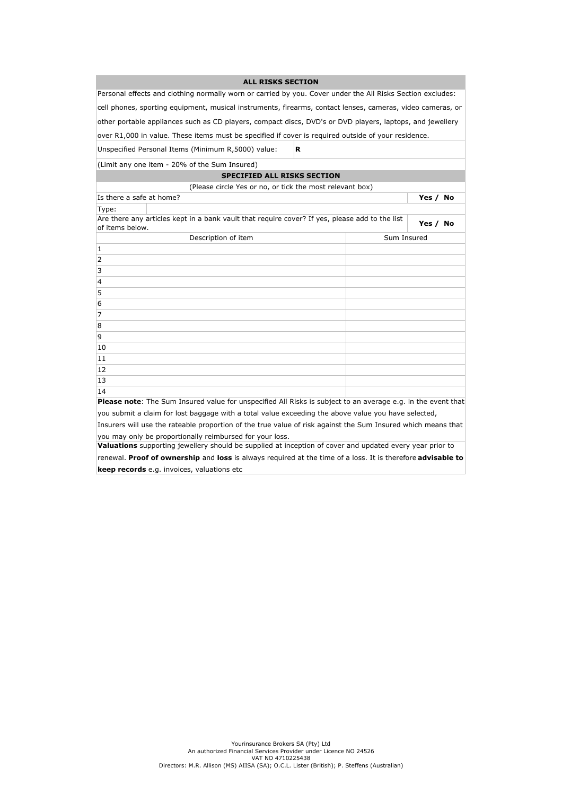| <b>ALL RISKS SECTION</b>                                                                                     |  |             |          |  |  |  |  |  |
|--------------------------------------------------------------------------------------------------------------|--|-------------|----------|--|--|--|--|--|
| Personal effects and clothing normally worn or carried by you. Cover under the All Risks Section excludes:   |  |             |          |  |  |  |  |  |
| cell phones, sporting equipment, musical instruments, firearms, contact lenses, cameras, video cameras, or   |  |             |          |  |  |  |  |  |
| other portable appliances such as CD players, compact discs, DVD's or DVD players, laptops, and jewellery    |  |             |          |  |  |  |  |  |
| over R1,000 in value. These items must be specified if cover is required outside of your residence.          |  |             |          |  |  |  |  |  |
| Unspecified Personal Items (Minimum R,5000) value:<br>R                                                      |  |             |          |  |  |  |  |  |
| (Limit any one item - 20% of the Sum Insured)                                                                |  |             |          |  |  |  |  |  |
| <b>SPECIFIED ALL RISKS SECTION</b>                                                                           |  |             |          |  |  |  |  |  |
| (Please circle Yes or no, or tick the most relevant box)                                                     |  |             |          |  |  |  |  |  |
| Is there a safe at home?                                                                                     |  |             | Yes / No |  |  |  |  |  |
| Type:                                                                                                        |  |             |          |  |  |  |  |  |
| Are there any articles kept in a bank vault that require cover? If yes, please add to the list               |  |             | Yes / No |  |  |  |  |  |
| of items below.                                                                                              |  |             |          |  |  |  |  |  |
| Description of item                                                                                          |  | Sum Insured |          |  |  |  |  |  |
| $\mathbf{1}$                                                                                                 |  |             |          |  |  |  |  |  |
| $\overline{2}$                                                                                               |  |             |          |  |  |  |  |  |
| 3                                                                                                            |  |             |          |  |  |  |  |  |
| 4                                                                                                            |  |             |          |  |  |  |  |  |
| 5                                                                                                            |  |             |          |  |  |  |  |  |
| 6                                                                                                            |  |             |          |  |  |  |  |  |
| 7                                                                                                            |  |             |          |  |  |  |  |  |
| 8                                                                                                            |  |             |          |  |  |  |  |  |
| 9                                                                                                            |  |             |          |  |  |  |  |  |
| 10                                                                                                           |  |             |          |  |  |  |  |  |
| 11                                                                                                           |  |             |          |  |  |  |  |  |
| 12                                                                                                           |  |             |          |  |  |  |  |  |
| 13                                                                                                           |  |             |          |  |  |  |  |  |
| 14                                                                                                           |  |             |          |  |  |  |  |  |
| Please note: The Sum Insured value for unspecified All Risks is subject to an average e.g. in the event that |  |             |          |  |  |  |  |  |
| you submit a claim for lost baggage with a total value exceeding the above value you have selected,          |  |             |          |  |  |  |  |  |
| Insurers will use the rateable proportion of the true value of risk against the Sum Insured which means that |  |             |          |  |  |  |  |  |
| you may only be proportionally reimbursed for your loss.                                                     |  |             |          |  |  |  |  |  |

Valuations supporting jewellery should be supplied at inception of cover and updated every year prior to

renewal. Proof of ownership and loss is always required at the time of a loss. It is therefore advisable to keep records e.g. invoices, valuations etc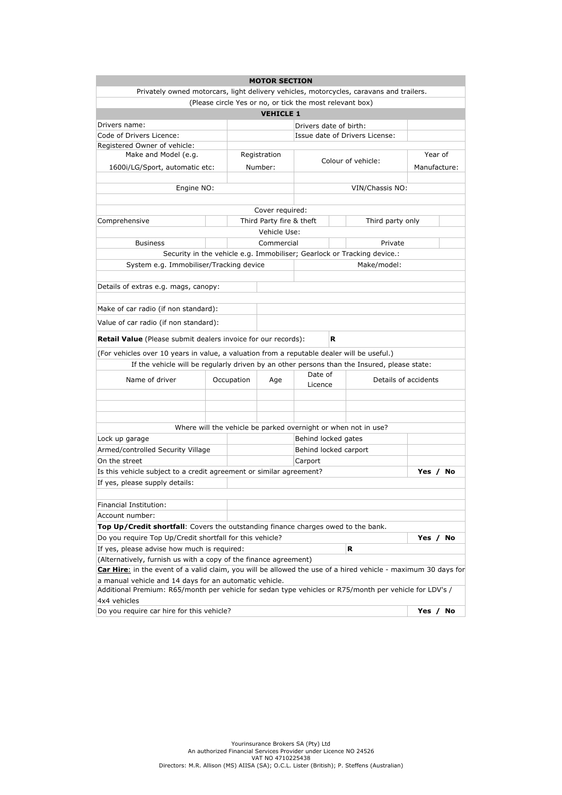|                                                                                                                                                                  |  |            | <b>MOTOR SECTION</b>     |                        |   |                                                                         |              |         |  |
|------------------------------------------------------------------------------------------------------------------------------------------------------------------|--|------------|--------------------------|------------------------|---|-------------------------------------------------------------------------|--------------|---------|--|
| Privately owned motorcars, light delivery vehicles, motorcycles, caravans and trailers.                                                                          |  |            |                          |                        |   |                                                                         |              |         |  |
| (Please circle Yes or no, or tick the most relevant box)                                                                                                         |  |            |                          |                        |   |                                                                         |              |         |  |
| <b>VEHICLE 1</b>                                                                                                                                                 |  |            |                          |                        |   |                                                                         |              |         |  |
| Drivers name:                                                                                                                                                    |  |            |                          | Drivers date of birth: |   |                                                                         |              |         |  |
| Code of Drivers Licence:                                                                                                                                         |  |            |                          |                        |   | Issue date of Drivers License:                                          |              |         |  |
| Registered Owner of vehicle:                                                                                                                                     |  |            |                          |                        |   |                                                                         |              |         |  |
| Make and Model (e.g.                                                                                                                                             |  |            | Registration             |                        |   | Colour of vehicle:                                                      |              | Year of |  |
| 1600i/LG/Sport, automatic etc:                                                                                                                                   |  |            | Number:                  |                        |   |                                                                         | Manufacture: |         |  |
|                                                                                                                                                                  |  |            |                          |                        |   |                                                                         |              |         |  |
| Engine NO:                                                                                                                                                       |  |            |                          |                        |   | VIN/Chassis NO:                                                         |              |         |  |
|                                                                                                                                                                  |  |            |                          |                        |   |                                                                         |              |         |  |
|                                                                                                                                                                  |  |            | Cover required:          |                        |   |                                                                         |              |         |  |
| Comprehensive                                                                                                                                                    |  |            | Third Party fire & theft |                        |   | Third party only                                                        |              |         |  |
|                                                                                                                                                                  |  |            | Vehicle Use:             |                        |   |                                                                         |              |         |  |
| <b>Business</b>                                                                                                                                                  |  |            | Commercial               |                        |   | Private                                                                 |              |         |  |
|                                                                                                                                                                  |  |            |                          |                        |   | Security in the vehicle e.g. Immobiliser; Gearlock or Tracking device.: |              |         |  |
| System e.g. Immobiliser/Tracking device                                                                                                                          |  |            |                          |                        |   | Make/model:                                                             |              |         |  |
|                                                                                                                                                                  |  |            |                          |                        |   |                                                                         |              |         |  |
| Details of extras e.g. mags, canopy:                                                                                                                             |  |            |                          |                        |   |                                                                         |              |         |  |
|                                                                                                                                                                  |  |            |                          |                        |   |                                                                         |              |         |  |
| Make of car radio (if non standard):                                                                                                                             |  |            |                          |                        |   |                                                                         |              |         |  |
| Value of car radio (if non standard):                                                                                                                            |  |            |                          |                        |   |                                                                         |              |         |  |
|                                                                                                                                                                  |  |            |                          |                        |   |                                                                         |              |         |  |
| <b>Retail Value</b> (Please submit dealers invoice for our records):                                                                                             |  |            |                          |                        | R |                                                                         |              |         |  |
| (For vehicles over 10 years in value, a valuation from a reputable dealer will be useful.)                                                                       |  |            |                          |                        |   |                                                                         |              |         |  |
| If the vehicle will be regularly driven by an other persons than the Insured, please state:                                                                      |  |            |                          |                        |   |                                                                         |              |         |  |
| Name of driver                                                                                                                                                   |  | Occupation | Age                      | Date of                |   | Details of accidents                                                    |              |         |  |
|                                                                                                                                                                  |  |            |                          | Licence                |   |                                                                         |              |         |  |
|                                                                                                                                                                  |  |            |                          |                        |   |                                                                         |              |         |  |
|                                                                                                                                                                  |  |            |                          |                        |   |                                                                         |              |         |  |
|                                                                                                                                                                  |  |            |                          |                        |   |                                                                         |              |         |  |
|                                                                                                                                                                  |  |            |                          |                        |   | Where will the vehicle be parked overnight or when not in use?          |              |         |  |
| Lock up garage                                                                                                                                                   |  |            |                          | Behind locked gates    |   |                                                                         |              |         |  |
| Armed/controlled Security Village                                                                                                                                |  |            |                          | Behind locked carport  |   |                                                                         |              |         |  |
| On the street                                                                                                                                                    |  |            |                          | Carport                |   |                                                                         |              |         |  |
| Is this vehicle subject to a credit agreement or similar agreement?                                                                                              |  |            |                          |                        |   |                                                                         | Yes / No     |         |  |
| If yes, please supply details:                                                                                                                                   |  |            |                          |                        |   |                                                                         |              |         |  |
|                                                                                                                                                                  |  |            |                          |                        |   |                                                                         |              |         |  |
| Financial Institution:                                                                                                                                           |  |            |                          |                        |   |                                                                         |              |         |  |
| Account number:                                                                                                                                                  |  |            |                          |                        |   |                                                                         |              |         |  |
| Top Up/Credit shortfall: Covers the outstanding finance charges owed to the bank.                                                                                |  |            |                          |                        |   |                                                                         |              |         |  |
| Do you require Top Up/Credit shortfall for this vehicle?                                                                                                         |  |            |                          |                        |   |                                                                         | Yes / No     |         |  |
| If yes, please advise how much is required:                                                                                                                      |  |            |                          |                        |   | R                                                                       |              |         |  |
| (Alternatively, furnish us with a copy of the finance agreement)                                                                                                 |  |            |                          |                        |   |                                                                         |              |         |  |
| Car Hire: in the event of a valid claim, you will be allowed the use of a hired vehicle - maximum 30 days for                                                    |  |            |                          |                        |   |                                                                         |              |         |  |
| a manual vehicle and 14 days for an automatic vehicle.<br>Additional Premium: R65/month per vehicle for sedan type vehicles or R75/month per vehicle for LDV's / |  |            |                          |                        |   |                                                                         |              |         |  |
| 4x4 vehicles                                                                                                                                                     |  |            |                          |                        |   |                                                                         |              |         |  |
| Do you require car hire for this vehicle?                                                                                                                        |  |            |                          |                        |   |                                                                         | Yes / No     |         |  |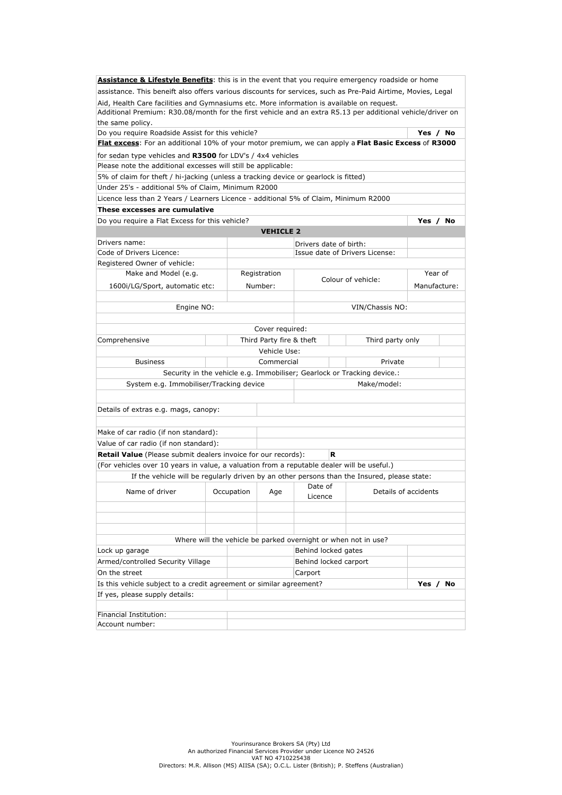| <b>Assistance &amp; Lifestyle Benefits:</b> this is in the event that you require emergency roadside or home                                                                                            |  |            |                          |                        |   |                                                                         |              |  |
|---------------------------------------------------------------------------------------------------------------------------------------------------------------------------------------------------------|--|------------|--------------------------|------------------------|---|-------------------------------------------------------------------------|--------------|--|
| assistance. This beneift also offers various discounts for services, such as Pre-Paid Airtime, Movies, Legal                                                                                            |  |            |                          |                        |   |                                                                         |              |  |
| Aid, Health Care facilities and Gymnasiums etc. More information is available on request.<br>Additional Premium: R30.08/month for the first vehicle and an extra R5.13 per additional vehicle/driver on |  |            |                          |                        |   |                                                                         |              |  |
| the same policy.                                                                                                                                                                                        |  |            |                          |                        |   |                                                                         |              |  |
| Do you require Roadside Assist for this vehicle?                                                                                                                                                        |  |            |                          |                        |   |                                                                         | Yes / No     |  |
| Flat excess: For an additional 10% of your motor premium, we can apply a Flat Basic Excess of R3000                                                                                                     |  |            |                          |                        |   |                                                                         |              |  |
| for sedan type vehicles and R3500 for LDV's / 4x4 vehicles                                                                                                                                              |  |            |                          |                        |   |                                                                         |              |  |
| Please note the additional excesses will still be applicable:                                                                                                                                           |  |            |                          |                        |   |                                                                         |              |  |
| 5% of claim for theft / hi-jacking (unless a tracking device or gearlock is fitted)                                                                                                                     |  |            |                          |                        |   |                                                                         |              |  |
| Under 25's - additional 5% of Claim, Minimum R2000                                                                                                                                                      |  |            |                          |                        |   |                                                                         |              |  |
| Licence less than 2 Years / Learners Licence - additional 5% of Claim, Minimum R2000                                                                                                                    |  |            |                          |                        |   |                                                                         |              |  |
| These excesses are cumulative                                                                                                                                                                           |  |            |                          |                        |   |                                                                         |              |  |
| Do you require a Flat Excess for this vehicle?                                                                                                                                                          |  |            |                          |                        |   |                                                                         | Yes / No     |  |
|                                                                                                                                                                                                         |  |            | <b>VEHICLE 2</b>         |                        |   |                                                                         |              |  |
| Drivers name:                                                                                                                                                                                           |  |            |                          | Drivers date of birth: |   |                                                                         |              |  |
| Code of Drivers Licence:                                                                                                                                                                                |  |            |                          |                        |   | Issue date of Drivers License:                                          |              |  |
| Registered Owner of vehicle:                                                                                                                                                                            |  |            |                          |                        |   |                                                                         |              |  |
| Make and Model (e.g.                                                                                                                                                                                    |  |            | Registration             |                        |   | Colour of vehicle:                                                      | Year of      |  |
| 1600i/LG/Sport, automatic etc:                                                                                                                                                                          |  |            | Number:                  |                        |   |                                                                         | Manufacture: |  |
|                                                                                                                                                                                                         |  |            |                          |                        |   |                                                                         |              |  |
| VIN/Chassis NO:<br>Engine NO:                                                                                                                                                                           |  |            |                          |                        |   |                                                                         |              |  |
|                                                                                                                                                                                                         |  |            |                          |                        |   |                                                                         |              |  |
|                                                                                                                                                                                                         |  |            | Cover required:          |                        |   |                                                                         |              |  |
| Comprehensive                                                                                                                                                                                           |  |            | Third Party fire & theft |                        |   | Third party only                                                        |              |  |
| Vehicle Use:                                                                                                                                                                                            |  |            |                          |                        |   |                                                                         |              |  |
| Commercial<br>Private<br><b>Business</b>                                                                                                                                                                |  |            |                          |                        |   |                                                                         |              |  |
|                                                                                                                                                                                                         |  |            |                          |                        |   | Security in the vehicle e.g. Immobiliser; Gearlock or Tracking device.: |              |  |
| System e.g. Immobiliser/Tracking device                                                                                                                                                                 |  |            |                          |                        |   | Make/model:                                                             |              |  |
|                                                                                                                                                                                                         |  |            |                          |                        |   |                                                                         |              |  |
| Details of extras e.g. mags, canopy:                                                                                                                                                                    |  |            |                          |                        |   |                                                                         |              |  |
|                                                                                                                                                                                                         |  |            |                          |                        |   |                                                                         |              |  |
| Make of car radio (if non standard):                                                                                                                                                                    |  |            |                          |                        |   |                                                                         |              |  |
| Value of car radio (if non standard):                                                                                                                                                                   |  |            |                          |                        |   |                                                                         |              |  |
| <b>Retail Value</b> (Please submit dealers invoice for our records):                                                                                                                                    |  |            |                          |                        | R |                                                                         |              |  |
| (For vehicles over 10 years in value, a valuation from a reputable dealer will be useful.)                                                                                                              |  |            |                          |                        |   |                                                                         |              |  |
| If the vehicle will be regularly driven by an other persons than the Insured, please state:                                                                                                             |  |            |                          |                        |   |                                                                         |              |  |
|                                                                                                                                                                                                         |  |            |                          | Date of                |   |                                                                         |              |  |
| Name of driver                                                                                                                                                                                          |  | Occupation | Age                      | Licence                |   | Details of accidents                                                    |              |  |
|                                                                                                                                                                                                         |  |            |                          |                        |   |                                                                         |              |  |
|                                                                                                                                                                                                         |  |            |                          |                        |   |                                                                         |              |  |
|                                                                                                                                                                                                         |  |            |                          |                        |   |                                                                         |              |  |
|                                                                                                                                                                                                         |  |            |                          |                        |   | Where will the vehicle be parked overnight or when not in use?          |              |  |
| Lock up garage                                                                                                                                                                                          |  |            |                          | Behind locked gates    |   |                                                                         |              |  |
| Armed/controlled Security Village                                                                                                                                                                       |  |            |                          | Behind locked carport  |   |                                                                         |              |  |
| On the street                                                                                                                                                                                           |  |            |                          | Carport                |   |                                                                         |              |  |
| Is this vehicle subject to a credit agreement or similar agreement?                                                                                                                                     |  |            |                          |                        |   |                                                                         | Yes / No     |  |
| If yes, please supply details:                                                                                                                                                                          |  |            |                          |                        |   |                                                                         |              |  |
|                                                                                                                                                                                                         |  |            |                          |                        |   |                                                                         |              |  |
| Financial Institution:                                                                                                                                                                                  |  |            |                          |                        |   |                                                                         |              |  |
| Account number:                                                                                                                                                                                         |  |            |                          |                        |   |                                                                         |              |  |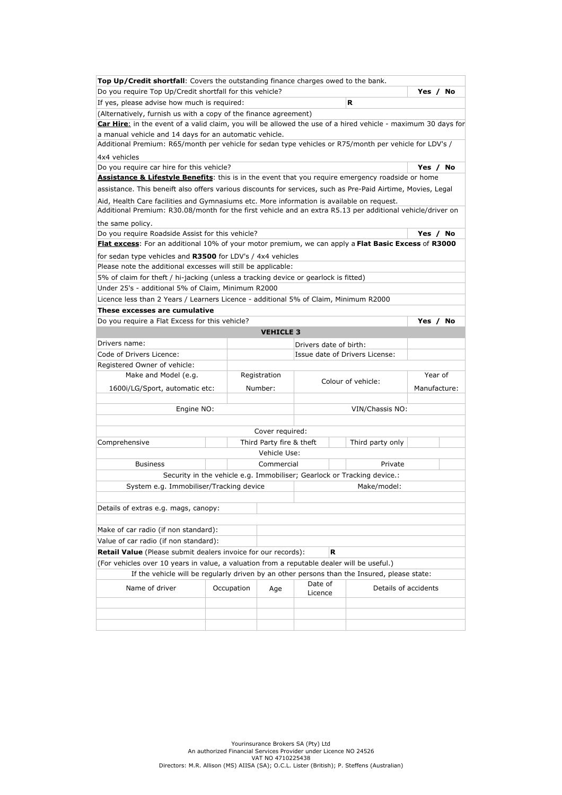| Do you require Top Up/Credit shortfall for this vehicle?<br>Yes /<br>If yes, please advise how much is required:<br>R<br>(Alternatively, furnish us with a copy of the finance agreement)<br>Car Hire: in the event of a valid claim, you will be allowed the use of a hired vehicle - maximum 30 days for<br>a manual vehicle and 14 days for an automatic vehicle.<br>Additional Premium: R65/month per vehicle for sedan type vehicles or R75/month per vehicle for LDV's /<br>4x4 vehicles | No |
|------------------------------------------------------------------------------------------------------------------------------------------------------------------------------------------------------------------------------------------------------------------------------------------------------------------------------------------------------------------------------------------------------------------------------------------------------------------------------------------------|----|
|                                                                                                                                                                                                                                                                                                                                                                                                                                                                                                |    |
|                                                                                                                                                                                                                                                                                                                                                                                                                                                                                                |    |
|                                                                                                                                                                                                                                                                                                                                                                                                                                                                                                |    |
|                                                                                                                                                                                                                                                                                                                                                                                                                                                                                                |    |
|                                                                                                                                                                                                                                                                                                                                                                                                                                                                                                |    |
|                                                                                                                                                                                                                                                                                                                                                                                                                                                                                                |    |
|                                                                                                                                                                                                                                                                                                                                                                                                                                                                                                |    |
| Do you require car hire for this vehicle?<br>Yes / No                                                                                                                                                                                                                                                                                                                                                                                                                                          |    |
| Assistance & Lifestyle Benefits: this is in the event that you require emergency roadside or home                                                                                                                                                                                                                                                                                                                                                                                              |    |
| assistance. This beneift also offers various discounts for services, such as Pre-Paid Airtime, Movies, Legal                                                                                                                                                                                                                                                                                                                                                                                   |    |
| Aid, Health Care facilities and Gymnasiums etc. More information is available on request.                                                                                                                                                                                                                                                                                                                                                                                                      |    |
| Additional Premium: R30.08/month for the first vehicle and an extra R5.13 per additional vehicle/driver on                                                                                                                                                                                                                                                                                                                                                                                     |    |
| the same policy.                                                                                                                                                                                                                                                                                                                                                                                                                                                                               |    |
| Do you require Roadside Assist for this vehicle?<br>Yes / No                                                                                                                                                                                                                                                                                                                                                                                                                                   |    |
| Flat excess: For an additional 10% of your motor premium, we can apply a Flat Basic Excess of R3000                                                                                                                                                                                                                                                                                                                                                                                            |    |
| for sedan type vehicles and R3500 for LDV's / 4x4 vehicles                                                                                                                                                                                                                                                                                                                                                                                                                                     |    |
| Please note the additional excesses will still be applicable:                                                                                                                                                                                                                                                                                                                                                                                                                                  |    |
| 5% of claim for theft / hi-jacking (unless a tracking device or gearlock is fitted)                                                                                                                                                                                                                                                                                                                                                                                                            |    |
| Under 25's - additional 5% of Claim, Minimum R2000                                                                                                                                                                                                                                                                                                                                                                                                                                             |    |
| Licence less than 2 Years / Learners Licence - additional 5% of Claim, Minimum R2000                                                                                                                                                                                                                                                                                                                                                                                                           |    |
| These excesses are cumulative                                                                                                                                                                                                                                                                                                                                                                                                                                                                  |    |
| Do you require a Flat Excess for this vehicle?<br>Yes / No                                                                                                                                                                                                                                                                                                                                                                                                                                     |    |
| <b>VEHICLE 3</b>                                                                                                                                                                                                                                                                                                                                                                                                                                                                               |    |
| Drivers name:<br>Drivers date of birth:                                                                                                                                                                                                                                                                                                                                                                                                                                                        |    |
| Code of Drivers Licence:<br>Issue date of Drivers License:                                                                                                                                                                                                                                                                                                                                                                                                                                     |    |
| Registered Owner of vehicle:                                                                                                                                                                                                                                                                                                                                                                                                                                                                   |    |
| Year of<br>Make and Model (e.g.<br>Registration                                                                                                                                                                                                                                                                                                                                                                                                                                                |    |
| Colour of vehicle:<br>Manufacture:<br>1600i/LG/Sport, automatic etc:<br>Number:                                                                                                                                                                                                                                                                                                                                                                                                                |    |
|                                                                                                                                                                                                                                                                                                                                                                                                                                                                                                |    |
| VIN/Chassis NO:<br>Engine NO:                                                                                                                                                                                                                                                                                                                                                                                                                                                                  |    |
|                                                                                                                                                                                                                                                                                                                                                                                                                                                                                                |    |
| Cover required:                                                                                                                                                                                                                                                                                                                                                                                                                                                                                |    |
| Comprehensive<br>Third Party fire & theft<br>Third party only                                                                                                                                                                                                                                                                                                                                                                                                                                  |    |
| Vehicle Use:                                                                                                                                                                                                                                                                                                                                                                                                                                                                                   |    |
| <b>Business</b><br>Commercial<br>Private                                                                                                                                                                                                                                                                                                                                                                                                                                                       |    |
| Security in the vehicle e.g. Immobiliser; Gearlock or Tracking device.:                                                                                                                                                                                                                                                                                                                                                                                                                        |    |
| System e.g. Immobiliser/Tracking device<br>Make/model:                                                                                                                                                                                                                                                                                                                                                                                                                                         |    |
|                                                                                                                                                                                                                                                                                                                                                                                                                                                                                                |    |
| Details of extras e.g. mags, canopy:                                                                                                                                                                                                                                                                                                                                                                                                                                                           |    |
|                                                                                                                                                                                                                                                                                                                                                                                                                                                                                                |    |
| Make of car radio (if non standard):                                                                                                                                                                                                                                                                                                                                                                                                                                                           |    |
| Value of car radio (if non standard):                                                                                                                                                                                                                                                                                                                                                                                                                                                          |    |
| Retail Value (Please submit dealers invoice for our records):<br>R                                                                                                                                                                                                                                                                                                                                                                                                                             |    |
| (For vehicles over 10 years in value, a valuation from a reputable dealer will be useful.)                                                                                                                                                                                                                                                                                                                                                                                                     |    |
| If the vehicle will be regularly driven by an other persons than the Insured, please state:                                                                                                                                                                                                                                                                                                                                                                                                    |    |
| Date of                                                                                                                                                                                                                                                                                                                                                                                                                                                                                        |    |
| Name of driver<br>Details of accidents<br>Occupation<br>Age<br>Licence                                                                                                                                                                                                                                                                                                                                                                                                                         |    |
|                                                                                                                                                                                                                                                                                                                                                                                                                                                                                                |    |
|                                                                                                                                                                                                                                                                                                                                                                                                                                                                                                |    |
|                                                                                                                                                                                                                                                                                                                                                                                                                                                                                                |    |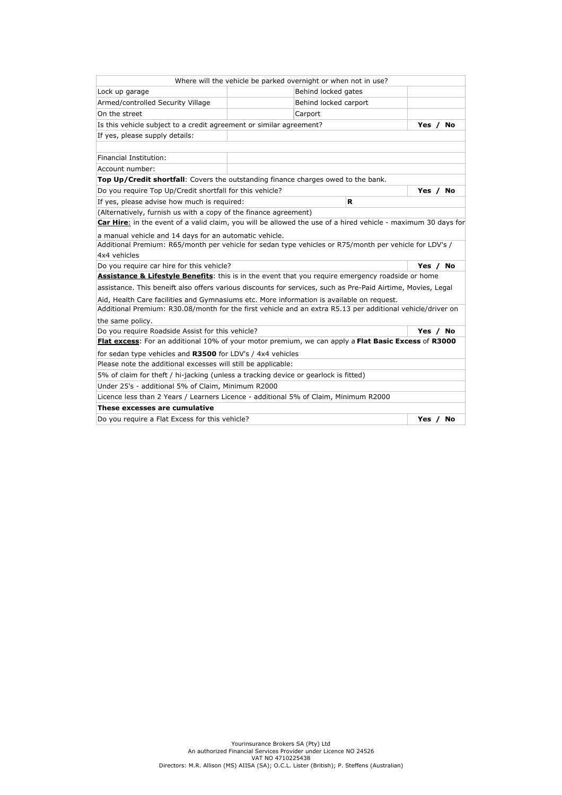|                                                                                                               |  | Where will the vehicle be parked overnight or when not in use? |         |          |  |
|---------------------------------------------------------------------------------------------------------------|--|----------------------------------------------------------------|---------|----------|--|
| Lock up garage                                                                                                |  | Behind locked gates                                            |         |          |  |
| Armed/controlled Security Village                                                                             |  | Behind locked carport                                          |         |          |  |
| On the street                                                                                                 |  | Carport                                                        |         |          |  |
| Is this vehicle subject to a credit agreement or similar agreement?                                           |  |                                                                |         | Yes / No |  |
| If yes, please supply details:                                                                                |  |                                                                |         |          |  |
|                                                                                                               |  |                                                                |         |          |  |
| Financial Institution:                                                                                        |  |                                                                |         |          |  |
| Account number:                                                                                               |  |                                                                |         |          |  |
| Top Up/Credit shortfall: Covers the outstanding finance charges owed to the bank.                             |  |                                                                |         |          |  |
| Do you require Top Up/Credit shortfall for this vehicle?                                                      |  |                                                                |         | Yes / No |  |
| If yes, please advise how much is required:                                                                   |  | R                                                              |         |          |  |
| (Alternatively, furnish us with a copy of the finance agreement)                                              |  |                                                                |         |          |  |
| Car Hire: in the event of a valid claim, you will be allowed the use of a hired vehicle - maximum 30 days for |  |                                                                |         |          |  |
| a manual vehicle and 14 days for an automatic vehicle.                                                        |  |                                                                |         |          |  |
| Additional Premium: R65/month per vehicle for sedan type vehicles or R75/month per vehicle for LDV's /        |  |                                                                |         |          |  |
| 4x4 vehicles                                                                                                  |  |                                                                |         |          |  |
| Do you require car hire for this vehicle?                                                                     |  |                                                                |         | Yes / No |  |
| <b>Assistance &amp; Lifestyle Benefits:</b> this is in the event that you require emergency roadside or home  |  |                                                                |         |          |  |
| assistance. This beneift also offers various discounts for services, such as Pre-Paid Airtime, Movies, Legal  |  |                                                                |         |          |  |
| Aid, Health Care facilities and Gymnasiums etc. More information is available on request.                     |  |                                                                |         |          |  |
| Additional Premium: R30.08/month for the first vehicle and an extra R5.13 per additional vehicle/driver on    |  |                                                                |         |          |  |
| the same policy.                                                                                              |  |                                                                |         |          |  |
| Do you require Roadside Assist for this vehicle?<br>Yes / No                                                  |  |                                                                |         |          |  |
| Flat excess: For an additional 10% of your motor premium, we can apply a Flat Basic Excess of R3000           |  |                                                                |         |          |  |
| for sedan type vehicles and R3500 for LDV's / 4x4 vehicles                                                    |  |                                                                |         |          |  |
| Please note the additional excesses will still be applicable:                                                 |  |                                                                |         |          |  |
| 5% of claim for theft / hi-jacking (unless a tracking device or gearlock is fitted)                           |  |                                                                |         |          |  |
| Under 25's - additional 5% of Claim, Minimum R2000                                                            |  |                                                                |         |          |  |
| Licence less than 2 Years / Learners Licence - additional 5% of Claim, Minimum R2000                          |  |                                                                |         |          |  |
| These excesses are cumulative                                                                                 |  |                                                                |         |          |  |
| Do you require a Flat Excess for this vehicle?                                                                |  |                                                                | Yes $/$ | No       |  |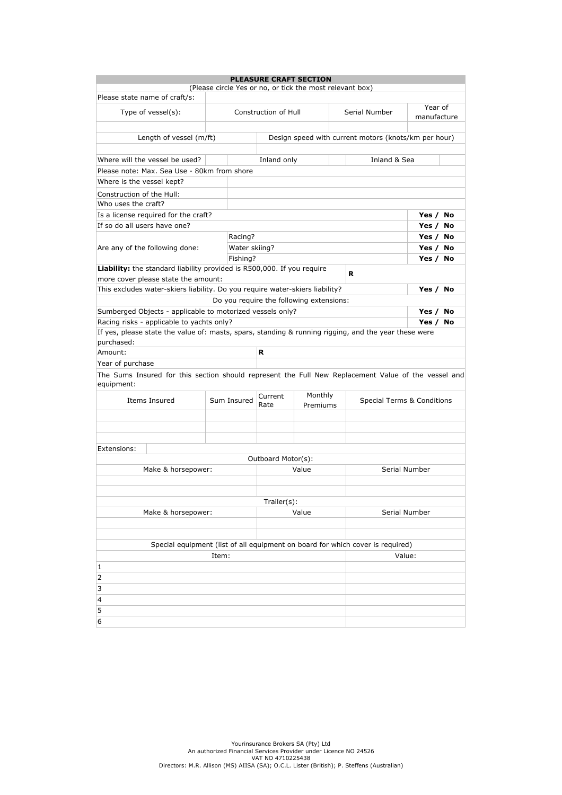|                                                                                                                   |               |                      | <b>PLEASURE CRAFT SECTION</b>                            |                                                                                |                            |  |  |  |  |  |
|-------------------------------------------------------------------------------------------------------------------|---------------|----------------------|----------------------------------------------------------|--------------------------------------------------------------------------------|----------------------------|--|--|--|--|--|
|                                                                                                                   |               |                      | (Please circle Yes or no, or tick the most relevant box) |                                                                                |                            |  |  |  |  |  |
| Please state name of craft/s:                                                                                     |               |                      |                                                          |                                                                                | Year of                    |  |  |  |  |  |
| Type of vessel(s):                                                                                                |               | Construction of Hull |                                                          | Serial Number                                                                  | manufacture                |  |  |  |  |  |
|                                                                                                                   |               |                      |                                                          |                                                                                |                            |  |  |  |  |  |
| Length of vessel (m/ft)                                                                                           |               |                      |                                                          | Design speed with current motors (knots/km per hour)                           |                            |  |  |  |  |  |
|                                                                                                                   |               |                      |                                                          |                                                                                |                            |  |  |  |  |  |
| Where will the vessel be used?                                                                                    | Inland & Sea  |                      |                                                          |                                                                                |                            |  |  |  |  |  |
| Please note: Max. Sea Use - 80km from shore                                                                       |               |                      |                                                          |                                                                                |                            |  |  |  |  |  |
| Where is the vessel kept?                                                                                         |               |                      |                                                          |                                                                                |                            |  |  |  |  |  |
| Construction of the Hull:                                                                                         |               |                      |                                                          |                                                                                |                            |  |  |  |  |  |
| Who uses the craft?                                                                                               |               |                      |                                                          |                                                                                |                            |  |  |  |  |  |
| Is a license required for the craft?                                                                              |               |                      |                                                          |                                                                                | Yes / No                   |  |  |  |  |  |
| If so do all users have one?                                                                                      |               |                      |                                                          |                                                                                | Yes / No                   |  |  |  |  |  |
|                                                                                                                   | Racing?       |                      |                                                          |                                                                                | Yes / No                   |  |  |  |  |  |
| Are any of the following done:                                                                                    | Water skiing? |                      |                                                          |                                                                                | Yes / No                   |  |  |  |  |  |
|                                                                                                                   | Fishing?      |                      |                                                          |                                                                                | Yes / No                   |  |  |  |  |  |
| Liability: the standard liability provided is R500,000. If you require<br>more cover please state the amount:     |               |                      |                                                          | R                                                                              |                            |  |  |  |  |  |
| This excludes water-skiers liability. Do you require water-skiers liability?                                      |               |                      |                                                          |                                                                                | Yes / No                   |  |  |  |  |  |
|                                                                                                                   |               |                      | Do you require the following extensions:                 |                                                                                |                            |  |  |  |  |  |
| Sumberged Objects - applicable to motorized vessels only?                                                         |               |                      |                                                          |                                                                                | Yes / No                   |  |  |  |  |  |
| Racing risks - applicable to yachts only?                                                                         |               |                      |                                                          |                                                                                | Yes / No                   |  |  |  |  |  |
| If yes, please state the value of: masts, spars, standing & running rigging, and the year these were              |               |                      |                                                          |                                                                                |                            |  |  |  |  |  |
| purchased:                                                                                                        |               |                      |                                                          |                                                                                |                            |  |  |  |  |  |
| Amount:                                                                                                           |               | R                    |                                                          |                                                                                |                            |  |  |  |  |  |
| Year of purchase                                                                                                  |               |                      |                                                          |                                                                                |                            |  |  |  |  |  |
| The Sums Insured for this section should represent the Full New Replacement Value of the vessel and<br>equipment: |               |                      |                                                          |                                                                                |                            |  |  |  |  |  |
| Items Insured                                                                                                     | Sum Insured   | Monthly<br>Current   |                                                          |                                                                                | Special Terms & Conditions |  |  |  |  |  |
|                                                                                                                   |               | Rate                 | Premiums                                                 |                                                                                |                            |  |  |  |  |  |
|                                                                                                                   |               |                      |                                                          |                                                                                |                            |  |  |  |  |  |
|                                                                                                                   |               |                      |                                                          |                                                                                |                            |  |  |  |  |  |
| Extensions:                                                                                                       |               |                      |                                                          |                                                                                |                            |  |  |  |  |  |
|                                                                                                                   |               | Outboard Motor(s):   |                                                          |                                                                                |                            |  |  |  |  |  |
| Make & horsepower:                                                                                                |               |                      | Value                                                    | Serial Number                                                                  |                            |  |  |  |  |  |
|                                                                                                                   |               |                      |                                                          |                                                                                |                            |  |  |  |  |  |
|                                                                                                                   |               |                      |                                                          |                                                                                |                            |  |  |  |  |  |
|                                                                                                                   |               | Trailer(s):          |                                                          |                                                                                |                            |  |  |  |  |  |
| Make & horsepower:                                                                                                |               | Value                | Serial Number                                            |                                                                                |                            |  |  |  |  |  |
|                                                                                                                   |               |                      |                                                          |                                                                                |                            |  |  |  |  |  |
|                                                                                                                   |               |                      |                                                          |                                                                                |                            |  |  |  |  |  |
|                                                                                                                   |               |                      |                                                          | Special equipment (list of all equipment on board for which cover is required) |                            |  |  |  |  |  |
|                                                                                                                   | Value:        |                      |                                                          |                                                                                |                            |  |  |  |  |  |
| 1                                                                                                                 |               |                      |                                                          |                                                                                |                            |  |  |  |  |  |
| 2                                                                                                                 |               |                      |                                                          |                                                                                |                            |  |  |  |  |  |
| 3                                                                                                                 |               |                      |                                                          |                                                                                |                            |  |  |  |  |  |
| 4                                                                                                                 |               |                      |                                                          |                                                                                |                            |  |  |  |  |  |
| 5                                                                                                                 |               |                      |                                                          |                                                                                |                            |  |  |  |  |  |
| 6                                                                                                                 |               |                      |                                                          |                                                                                |                            |  |  |  |  |  |